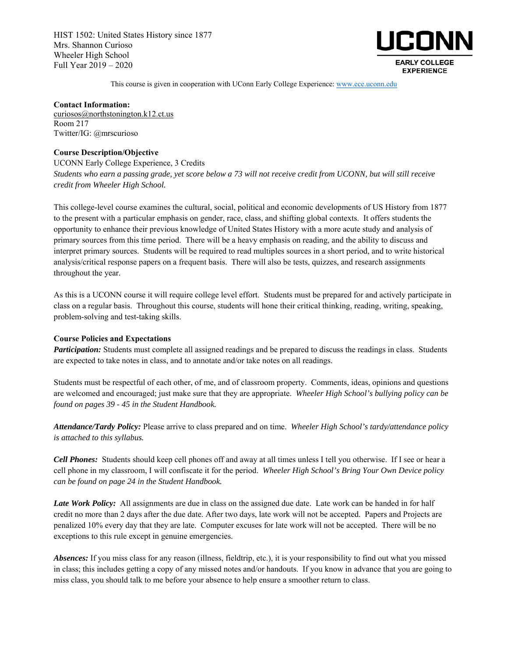HIST 1502: United States History since 1877 Mrs. Shannon Curioso Wheeler High School Full Year 2019 – 2020



This course is given in cooperation with UConn Early College Experience: www.ece.uconn.edu

**Contact Information:** curiosos@northstonington.k12.ct.us Room 217 Twitter/IG: @mrscurioso

## **Course Description/Objective**

UCONN Early College Experience, 3 Credits *Students who earn a passing grade, yet score below a 73 will not receive credit from UCONN, but will still receive credit from Wheeler High School.* 

This college-level course examines the cultural, social, political and economic developments of US History from 1877 to the present with a particular emphasis on gender, race, class, and shifting global contexts. It offers students the opportunity to enhance their previous knowledge of United States History with a more acute study and analysis of primary sources from this time period. There will be a heavy emphasis on reading, and the ability to discuss and interpret primary sources. Students will be required to read multiples sources in a short period, and to write historical analysis/critical response papers on a frequent basis. There will also be tests, quizzes, and research assignments throughout the year.

As this is a UCONN course it will require college level effort. Students must be prepared for and actively participate in class on a regular basis. Throughout this course, students will hone their critical thinking, reading, writing, speaking, problem-solving and test-taking skills.

### **Course Policies and Expectations**

*Participation:* Students must complete all assigned readings and be prepared to discuss the readings in class. Students are expected to take notes in class, and to annotate and/or take notes on all readings.

Students must be respectful of each other, of me, and of classroom property. Comments, ideas, opinions and questions are welcomed and encouraged; just make sure that they are appropriate. *Wheeler High School's bullying policy can be found on pages 39 - 45 in the Student Handbook.*

*Attendance/Tardy Policy:* Please arrive to class prepared and on time. *Wheeler High School's tardy/attendance policy is attached to this syllabus.*

*Cell Phones:* Students should keep cell phones off and away at all times unless I tell you otherwise. If I see or hear a cell phone in my classroom, I will confiscate it for the period. *Wheeler High School's Bring Your Own Device policy can be found on page 24 in the Student Handbook.*

*Late Work Policy:* All assignments are due in class on the assigned due date. Late work can be handed in for half credit no more than 2 days after the due date. After two days, late work will not be accepted. Papers and Projects are penalized 10% every day that they are late. Computer excuses for late work will not be accepted. There will be no exceptions to this rule except in genuine emergencies.

*Absences:* If you miss class for any reason (illness, fieldtrip, etc.), it is your responsibility to find out what you missed in class; this includes getting a copy of any missed notes and/or handouts. If you know in advance that you are going to miss class, you should talk to me before your absence to help ensure a smoother return to class.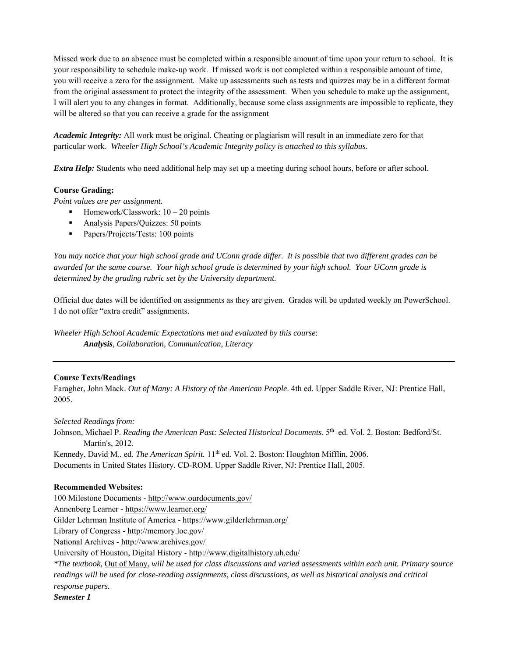Missed work due to an absence must be completed within a responsible amount of time upon your return to school. It is your responsibility to schedule make-up work. If missed work is not completed within a responsible amount of time, you will receive a zero for the assignment. Make up assessments such as tests and quizzes may be in a different format from the original assessment to protect the integrity of the assessment. When you schedule to make up the assignment, I will alert you to any changes in format. Additionally, because some class assignments are impossible to replicate, they will be altered so that you can receive a grade for the assignment

*Academic Integrity:* All work must be original. Cheating or plagiarism will result in an immediate zero for that particular work. *Wheeler High School's Academic Integrity policy is attached to this syllabus.* 

*Extra Help:* Students who need additional help may set up a meeting during school hours, before or after school.

# **Course Grading:**

*Point values are per assignment.* 

- Homework/Classwork:  $10 20$  points
- Analysis Papers/Quizzes: 50 points
- Papers/Projects/Tests: 100 points

*You may notice that your high school grade and UConn grade differ. It is possible that two different grades can be awarded for the same course. Your high school grade is determined by your high school. Your UConn grade is determined by the grading rubric set by the University department.* 

Official due dates will be identified on assignments as they are given. Grades will be updated weekly on PowerSchool. I do not offer "extra credit" assignments.

*Wheeler High School Academic Expectations met and evaluated by this course*: *Analysis, Collaboration, Communication, Literacy* 

# **Course Texts/Readings**

Faragher, John Mack. *Out of Many: A History of the American People*. 4th ed. Upper Saddle River, NJ: Prentice Hall, 2005.

# *Selected Readings from:*

Johnson, Michael P. *Reading the American Past: Selected Historical Documents*. 5<sup>th</sup> ed. Vol. 2. Boston: Bedford/St. Martin's, 2012.

Kennedy, David M., ed. *The American Spirit.* 11<sup>th</sup> ed. Vol. 2. Boston: Houghton Mifflin, 2006. Documents in United States History. CD-ROM. Upper Saddle River, NJ: Prentice Hall, 2005.

# **Recommended Websites:**

100 Milestone Documents - http://www.ourdocuments.gov/ Annenberg Learner - https://www.learner.org/

Gilder Lehrman Institute of America - https://www.gilderlehrman.org/

Library of Congress - http://memory.loc.gov/

National Archives - http://www.archives.gov/

University of Houston, Digital History - http://www.digitalhistory.uh.edu/

*\*The textbook,* Out of Many, *will be used for class discussions and varied assessments within each unit. Primary source*  readings will be used for close-reading assignments, class discussions, as well as historical analysis and critical *response papers.* 

*Semester 1*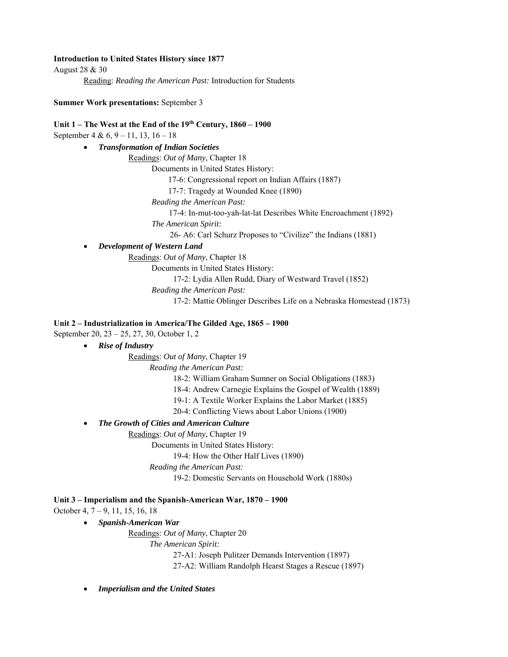## **Introduction to United States History since 1877**

August 28 & 30

Reading: *Reading the American Past:* Introduction for Students

## **Summer Work presentations:** September 3

# **Unit 1 – The West at the End of the 19th Century, 1860 – 1900**

September 4 & 6, 9 – 11, 13, 16 – 18

*Transformation of Indian Societies* 

Readings: *Out of Many*, Chapter 18

Documents in United States History:

17-6: Congressional report on Indian Affairs (1887)

17-7: Tragedy at Wounded Knee (1890)

 *Reading the American Past:* 

17-4: In-mut-too-yah-lat-lat Describes White Encroachment (1892)

*The American Spirit:* 

26- A6: Carl Schurz Proposes to "Civilize" the Indians (1881)

*Development of Western Land* 

Readings: *Out of Many*, Chapter 18

Documents in United States History:

17-2: Lydia Allen Rudd, Diary of Westward Travel (1852)

*Reading the American Past:* 

17-2: Mattie Oblinger Describes Life on a Nebraska Homestead (1873)

# **Unit 2 – Industrialization in America/The Gilded Age, 1865 – 1900**

September 20, 23 – 25, 27, 30, October 1, 2

*Rise of Industry* 

# Readings: *Out of Many*, Chapter 19

*Reading the American Past:* 

18-2: William Graham Sumner on Social Obligations (1883)

18-4: Andrew Carnegie Explains the Gospel of Wealth (1889)

19-1: A Textile Worker Explains the Labor Market (1885)

20-4: Conflicting Views about Labor Unions (1900)

*The Growth of Cities and American Culture* 

Readings: *Out of Many*, Chapter 19

Documents in United States History:

19-4: How the Other Half Lives (1890)

*Reading the American Past:* 

19-2: Domestic Servants on Household Work (1880s)

# **Unit 3 – Imperialism and the Spanish-American War, 1870 – 1900**

October 4, 7 – 9, 11, 15, 16, 18

# *Spanish-American War*

Readings: *Out of Many*, Chapter 20 *The American Spirit:*  27-A1: Joseph Pulitzer Demands Intervention (1897)

27-A2: William Randolph Hearst Stages a Rescue (1897)

*Imperialism and the United States*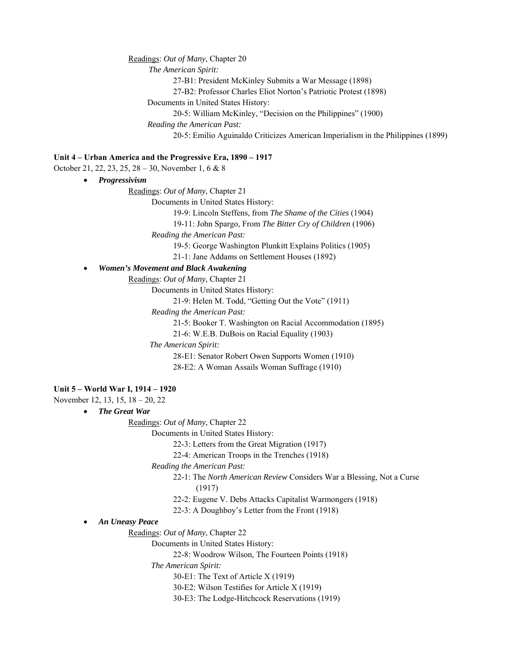Readings: *Out of Many*, Chapter 20 *The American Spirit:*  27-B1: President McKinley Submits a War Message (1898) 27-B2: Professor Charles Eliot Norton's Patriotic Protest (1898) Documents in United States History: 20-5: William McKinley, "Decision on the Philippines" (1900)  *Reading the American Past:*  20-5: Emilio Aguinaldo Criticizes American Imperialism in the Philippines (1899) **Unit 4 – Urban America and the Progressive Era, 1890 – 1917**  October 21, 22, 23, 25, 28 – 30, November 1, 6 & 8 *Progressivism*  Readings: *Out of Many*, Chapter 21 Documents in United States History: 19-9: Lincoln Steffens, from *The Shame of the Cities* (1904) 19-11: John Spargo, From *The Bitter Cry of Children* (1906)  *Reading the American Past:*  19-5: George Washington Plunkitt Explains Politics (1905) 21-1: Jane Addams on Settlement Houses (1892) *Women's Movement and Black Awakening*  Readings: *Out of Many*, Chapter 21 Documents in United States History: 21-9: Helen M. Todd, "Getting Out the Vote" (1911)  *Reading the American Past:*  21-5: Booker T. Washington on Racial Accommodation (1895) 21-6: W.E.B. DuBois on Racial Equality (1903) *The American Spirit:*  28-E1: Senator Robert Owen Supports Women (1910) 28-E2: A Woman Assails Woman Suffrage (1910) **Unit 5 – World War I, 1914 – 1920**  November 12, 13, 15, 18 – 20, 22 *The Great War*  Readings: *Out of Many*, Chapter 22 Documents in United States History: 22-3: Letters from the Great Migration (1917) 22-4: American Troops in the Trenches (1918)  *Reading the American Past:*  22-1: The *North American Review* Considers War a Blessing, Not a Curse (1917) 22-2: Eugene V. Debs Attacks Capitalist Warmongers (1918)

- 22-3: A Doughboy's Letter from the Front (1918)
- *An Uneasy Peace*

Readings: *Out of Many*, Chapter 22

Documents in United States History:

22-8: Woodrow Wilson, The Fourteen Points (1918)

 *The American Spirit:* 

30-E1: The Text of Article X (1919)

30-E2: Wilson Testifies for Article X (1919)

30-E3: The Lodge-Hitchcock Reservations (1919)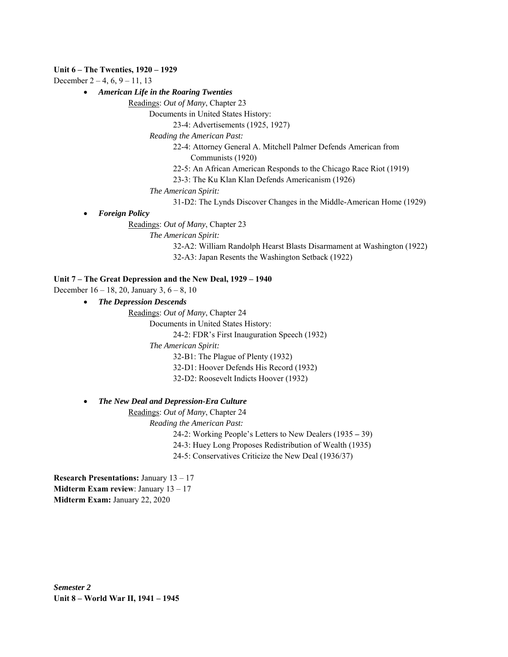## **Unit 6 – The Twenties, 1920 – 1929**

December  $2 - 4$ , 6, 9 – 11, 13

*American Life in the Roaring Twenties* 

Readings: *Out of Many*, Chapter 23

Documents in United States History:

23-4: Advertisements (1925, 1927)

 *Reading the American Past:* 

22-4: Attorney General A. Mitchell Palmer Defends American from Communists (1920)

22-5: An African American Responds to the Chicago Race Riot (1919)

23-3: The Ku Klan Klan Defends Americanism (1926)

 *The American Spirit:* 

31-D2: The Lynds Discover Changes in the Middle-American Home (1929)

*Foreign Policy* 

Readings: *Out of Many*, Chapter 23

 *The American Spirit:* 

32-A2: William Randolph Hearst Blasts Disarmament at Washington (1922) 32-A3: Japan Resents the Washington Setback (1922)

## **Unit 7 – The Great Depression and the New Deal, 1929 – 1940**

December 16 – 18, 20, January 3, 6 – 8, 10

*The Depression Descends* 

Readings: *Out of Many*, Chapter 24

Documents in United States History:

24-2: FDR's First Inauguration Speech (1932)

 *The American Spirit:* 

32-B1: The Plague of Plenty (1932)

32-D1: Hoover Defends His Record (1932)

32-D2: Roosevelt Indicts Hoover (1932)

*The New Deal and Depression-Era Culture* 

Readings: *Out of Many*, Chapter 24

 *Reading the American Past:* 

24-2: Working People's Letters to New Dealers (1935 **–** 39)

24-3: Huey Long Proposes Redistribution of Wealth (1935)

24-5: Conservatives Criticize the New Deal (1936/37)

**Research Presentations:** January 13 – 17 **Midterm Exam review**: January 13 – 17 **Midterm Exam:** January 22, 2020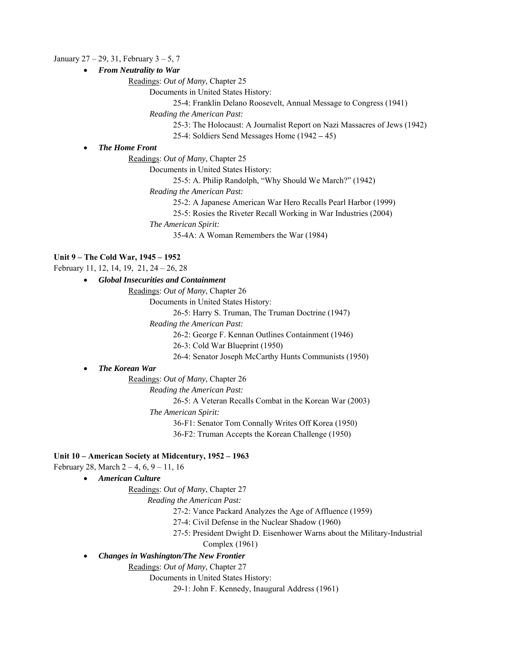## January  $27 - 29$ , 31, February  $3 - 5$ , 7

*From Neutrality to War* 

Readings: *Out of Many*, Chapter 25

Documents in United States History:

25-4: Franklin Delano Roosevelt, Annual Message to Congress (1941)

 *Reading the American Past:* 

25-3: The Holocaust: A Journalist Report on Nazi Massacres of Jews (1942)

25-4: Soldiers Send Messages Home (1942 **–** 45)

## *The Home Front*

Readings: *Out of Many*, Chapter 25

Documents in United States History:

25-5: A. Philip Randolph, "Why Should We March?" (1942)

 *Reading the American Past:* 

25-2: A Japanese American War Hero Recalls Pearl Harbor (1999)

25-5: Rosies the Riveter Recall Working in War Industries (2004)

 *The American Spirit:* 

35-4A: A Woman Remembers the War (1984)

### **Unit 9 – The Cold War, 1945 – 1952**

February 11, 12, 14, 19, 21, 24 – 26, 28

*Global Insecurities and Containment* 

Readings: *Out of Many*, Chapter 26

Documents in United States History:

26-5: Harry S. Truman, The Truman Doctrine (1947)

 *Reading the American Past:* 

26-2: George F. Kennan Outlines Containment (1946)

26-3: Cold War Blueprint (1950)

26-4: Senator Joseph McCarthy Hunts Communists (1950)

# *The Korean War*

Readings: *Out of Many*, Chapter 26

 *Reading the American Past:* 

26-5: A Veteran Recalls Combat in the Korean War (2003)

 *The American Spirit:* 

36-F1: Senator Tom Connally Writes Off Korea (1950)

36-F2: Truman Accepts the Korean Challenge (1950)

# **Unit 10 – American Society at Midcentury, 1952 – 1963**

February 28, March  $2 - 4$ , 6,  $9 - 11$ , 16

*American Culture* 

Readings: *Out of Many*, Chapter 27

 *Reading the American Past:* 

27-2: Vance Packard Analyzes the Age of Affluence (1959)

27-4: Civil Defense in the Nuclear Shadow (1960)

27-5: President Dwight D. Eisenhower Warns about the Military-Industrial

Complex (1961)

## *Changes in Washington/The New Frontier*

Readings: *Out of Many*, Chapter 27

Documents in United States History:

29-1: John F. Kennedy, Inaugural Address (1961)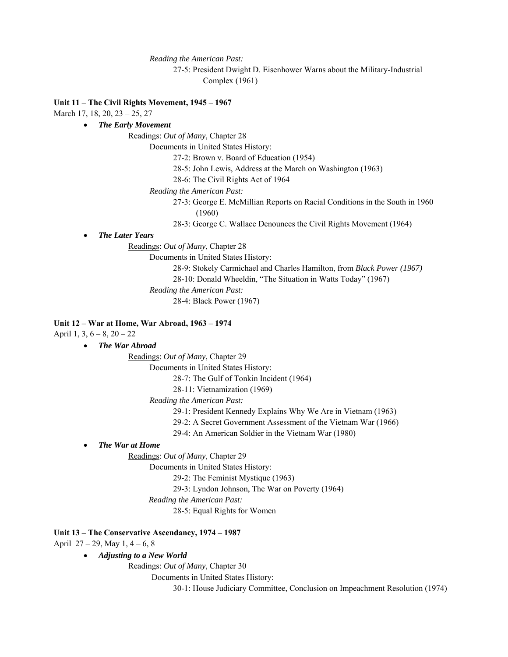*Reading the American Past:* 

27-5: President Dwight D. Eisenhower Warns about the Military-Industrial Complex (1961)

# **Unit 11 – The Civil Rights Movement, 1945 – 1967**

March 17, 18, 20, 23 – 25, 27

# *The Early Movement*

Readings: *Out of Many*, Chapter 28

Documents in United States History:

27-2: Brown v. Board of Education (1954)

- 28-5: John Lewis, Address at the March on Washington (1963)
- 28-6: The Civil Rights Act of 1964
- *Reading the American Past:* 
	- 27-3: George E. McMillian Reports on Racial Conditions in the South in 1960 (1960)
	- 28-3: George C. Wallace Denounces the Civil Rights Movement (1964)

*The Later Years* 

Readings: *Out of Many*, Chapter 28

Documents in United States History:

- 28-9: Stokely Carmichael and Charles Hamilton, from *Black Power (1967)*
- 28-10: Donald Wheeldin, "The Situation in Watts Today" (1967)

 *Reading the American Past:* 

28-4: Black Power (1967)

## **Unit 12 – War at Home, War Abroad, 1963 – 1974**

April 1, 3,  $6 - 8$ ,  $20 - 22$ 

## *The War Abroad*

Readings: *Out of Many*, Chapter 29

Documents in United States History:

28-7: The Gulf of Tonkin Incident (1964)

28-11: Vietnamization (1969)

#### *Reading the American Past:*

29-1: President Kennedy Explains Why We Are in Vietnam (1963)

29-2: A Secret Government Assessment of the Vietnam War (1966)

29-4: An American Soldier in the Vietnam War (1980)

#### *The War at Home*

Readings: *Out of Many*, Chapter 29

Documents in United States History:

29-2: The Feminist Mystique (1963)

29-3: Lyndon Johnson, The War on Poverty (1964)

*Reading the American Past:*

28-5: Equal Rights for Women

## **Unit 13 – The Conservative Ascendancy, 1974 – 1987**

April  $27 - 29$ , May  $1, 4 - 6, 8$ 

*Adjusting to a New World* 

Readings: *Out of Many*, Chapter 30

Documents in United States History:

30-1: House Judiciary Committee, Conclusion on Impeachment Resolution (1974)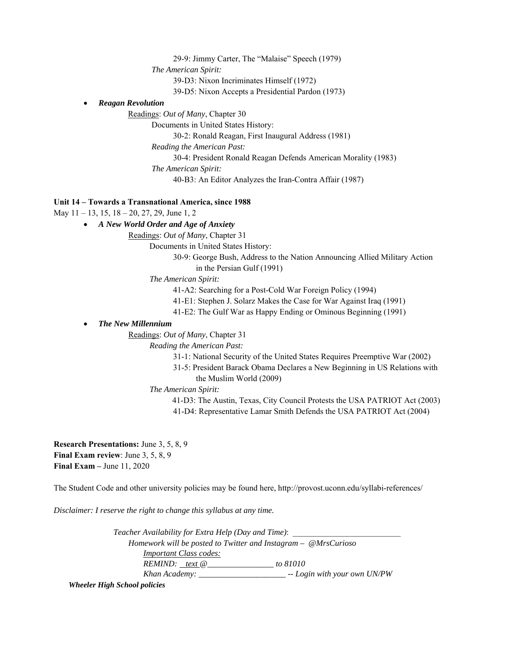29-9: Jimmy Carter, The "Malaise" Speech (1979)

 *The American Spirit:* 

39-D3: Nixon Incriminates Himself (1972)

39-D5: Nixon Accepts a Presidential Pardon (1973)

# *Reagan Revolution*

Readings: *Out of Many*, Chapter 30

Documents in United States History:

30-2: Ronald Reagan, First Inaugural Address (1981)

 *Reading the American Past:* 

30-4: President Ronald Reagan Defends American Morality (1983)

 *The American Spirit:* 

40-B3: An Editor Analyzes the Iran-Contra Affair (1987)

# **Unit 14 – Towards a Transnational America, since 1988**

May 11 – 13, 15, 18 – 20, 27, 29, June 1, 2

# *A New World Order and Age of Anxiety*

Readings: *Out of Many*, Chapter 31

Documents in United States History:

30-9: George Bush, Address to the Nation Announcing Allied Military Action in the Persian Gulf (1991)

 *The American Spirit:* 

41-A2: Searching for a Post-Cold War Foreign Policy (1994)

41-E1: Stephen J. Solarz Makes the Case for War Against Iraq (1991)

41-E2: The Gulf War as Happy Ending or Ominous Beginning (1991)

# *The New Millennium*

Readings: *Out of Many*, Chapter 31

*Reading the American Past:* 

31-1: National Security of the United States Requires Preemptive War (2002)

31-5: President Barack Obama Declares a New Beginning in US Relations with the Muslim World (2009)

 *The American Spirit:* 

41-D3: The Austin, Texas, City Council Protests the USA PATRIOT Act (2003) 41-D4: Representative Lamar Smith Defends the USA PATRIOT Act (2004)

**Research Presentations:** June 3, 5, 8, 9 **Final Exam review**: June 3, 5, 8, 9 **Final Exam –** June 11, 2020

The Student Code and other university policies may be found here, http://provost.uconn.edu/syllabi-references/

*Disclaimer: I reserve the right to change this syllabus at any time.* 

*Teacher Availability for Extra Help (Day and Time): Homework will be posted to Twitter and Instagram – @MrsCurioso Important Class codes: REMIND: text @\_\_\_\_\_\_\_\_\_\_\_\_\_\_\_\_ to 81010 Khan Academy: \_\_\_\_\_\_\_\_\_\_\_\_\_\_\_\_\_\_\_\_\_ -- Login with your own UN/PW* 

*Wheeler High School policies*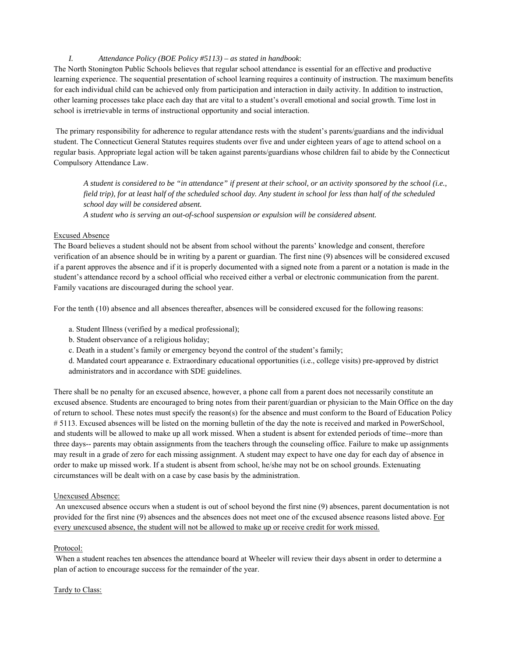# *I. Attendance Policy (BOE Policy #5113) – as stated in handbook*:

The North Stonington Public Schools believes that regular school attendance is essential for an effective and productive learning experience. The sequential presentation of school learning requires a continuity of instruction. The maximum benefits for each individual child can be achieved only from participation and interaction in daily activity. In addition to instruction, other learning processes take place each day that are vital to a student's overall emotional and social growth. Time lost in school is irretrievable in terms of instructional opportunity and social interaction.

 The primary responsibility for adherence to regular attendance rests with the student's parents/guardians and the individual student. The Connecticut General Statutes requires students over five and under eighteen years of age to attend school on a regular basis. Appropriate legal action will be taken against parents/guardians whose children fail to abide by the Connecticut Compulsory Attendance Law.

*A student is considered to be "in attendance" if present at their school, or an activity sponsored by the school (i.e., field trip), for at least half of the scheduled school day. Any student in school for less than half of the scheduled school day will be considered absent.* 

*A student who is serving an out-of-school suspension or expulsion will be considered absent.* 

# Excused Absence

The Board believes a student should not be absent from school without the parents' knowledge and consent, therefore verification of an absence should be in writing by a parent or guardian. The first nine (9) absences will be considered excused if a parent approves the absence and if it is properly documented with a signed note from a parent or a notation is made in the student's attendance record by a school official who received either a verbal or electronic communication from the parent. Family vacations are discouraged during the school year.

For the tenth (10) absence and all absences thereafter, absences will be considered excused for the following reasons:

a. Student Illness (verified by a medical professional);

b. Student observance of a religious holiday;

c. Death in a student's family or emergency beyond the control of the student's family;

d. Mandated court appearance e. Extraordinary educational opportunities (i.e., college visits) pre-approved by district administrators and in accordance with SDE guidelines.

There shall be no penalty for an excused absence, however, a phone call from a parent does not necessarily constitute an excused absence. Students are encouraged to bring notes from their parent/guardian or physician to the Main Office on the day of return to school. These notes must specify the reason(s) for the absence and must conform to the Board of Education Policy # 5113. Excused absences will be listed on the morning bulletin of the day the note is received and marked in PowerSchool, and students will be allowed to make up all work missed. When a student is absent for extended periods of time--more than three days-- parents may obtain assignments from the teachers through the counseling office. Failure to make up assignments may result in a grade of zero for each missing assignment. A student may expect to have one day for each day of absence in order to make up missed work. If a student is absent from school, he/she may not be on school grounds. Extenuating circumstances will be dealt with on a case by case basis by the administration.

# Unexcused Absence:

 An unexcused absence occurs when a student is out of school beyond the first nine (9) absences, parent documentation is not provided for the first nine (9) absences and the absences does not meet one of the excused absence reasons listed above. For every unexcused absence, the student will not be allowed to make up or receive credit for work missed.

# Protocol:

 When a student reaches ten absences the attendance board at Wheeler will review their days absent in order to determine a plan of action to encourage success for the remainder of the year.

### Tardy to Class: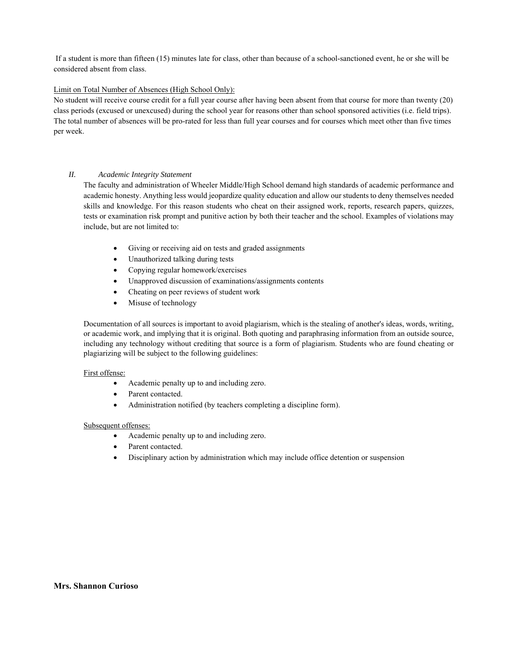If a student is more than fifteen (15) minutes late for class, other than because of a school-sanctioned event, he or she will be considered absent from class.

## Limit on Total Number of Absences (High School Only):

No student will receive course credit for a full year course after having been absent from that course for more than twenty (20) class periods (excused or unexcused) during the school year for reasons other than school sponsored activities (i.e. field trips). The total number of absences will be pro-rated for less than full year courses and for courses which meet other than five times per week.

## *II. Academic Integrity Statement*

The faculty and administration of Wheeler Middle/High School demand high standards of academic performance and academic honesty. Anything less would jeopardize quality education and allow our students to deny themselves needed skills and knowledge. For this reason students who cheat on their assigned work, reports, research papers, quizzes, tests or examination risk prompt and punitive action by both their teacher and the school. Examples of violations may include, but are not limited to:

- Giving or receiving aid on tests and graded assignments
- Unauthorized talking during tests
- Copying regular homework/exercises
- Unapproved discussion of examinations/assignments contents
- Cheating on peer reviews of student work
- Misuse of technology

Documentation of all sources is important to avoid plagiarism, which is the stealing of another's ideas, words, writing, or academic work, and implying that it is original. Both quoting and paraphrasing information from an outside source, including any technology without crediting that source is a form of plagiarism. Students who are found cheating or plagiarizing will be subject to the following guidelines:

### First offense:

- Academic penalty up to and including zero.
- Parent contacted.
- Administration notified (by teachers completing a discipline form).

### Subsequent offenses:

- Academic penalty up to and including zero.
- Parent contacted.
- Disciplinary action by administration which may include office detention or suspension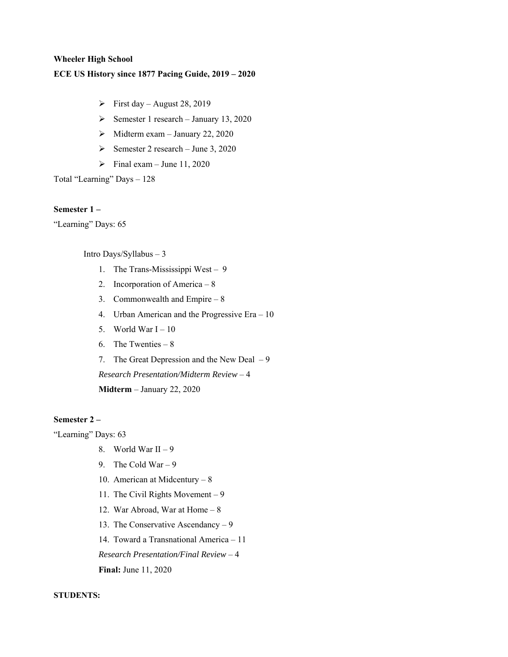## **Wheeler High School**

# **ECE US History since 1877 Pacing Guide, 2019 – 2020**

- $\triangleright$  First day August 28, 2019
- Semester 1 research January 13, 2020
- $\blacktriangleright$  Midterm exam January 22, 2020
- Semester 2 research June 3, 2020
- $\triangleright$  Final exam June 11, 2020

Total "Learning" Days – 128

# **Semester 1 –**

"Learning" Days: 65

Intro Days/Syllabus – 3

- 1. The Trans-Mississippi West 9
- 2. Incorporation of America 8
- 3. Commonwealth and Empire 8
- 4. Urban American and the Progressive Era 10
- 5. World War  $I 10$
- 6. The Twenties 8
- 7. The Great Depression and the New Deal 9

*Research Presentation/Midterm Review* – 4

**Midterm** – January 22, 2020

# **Semester 2 –**

"Learning" Days: 63

- 8. World War II 9
- 9. The Cold War 9
- 10. American at Midcentury 8
- 11. The Civil Rights Movement 9
- 12. War Abroad, War at Home 8
- 13. The Conservative Ascendancy 9

14. Toward a Transnational America – 11

*Research Presentation/Final Review* – 4

**Final:** June 11, 2020

**STUDENTS:**